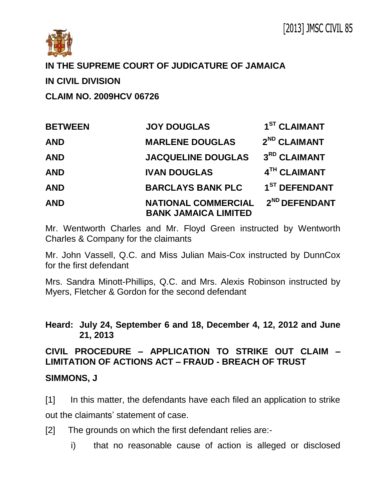

# **IN THE SUPREME COURT OF JUDICATURE OF JAMAICA**

## **IN CIVIL DIVISION**

**CLAIM NO. 2009HCV 06726** 

| <b>BETWEEN</b> | <b>JOY DOUGLAS</b>                                        | 1 <sup>ST</sup> CLAIMANT  |
|----------------|-----------------------------------------------------------|---------------------------|
| <b>AND</b>     | <b>MARLENE DOUGLAS</b>                                    | 2 <sup>ND</sup> CLAIMANT  |
| <b>AND</b>     | <b>JACQUELINE DOUGLAS</b>                                 | 3RD CLAIMANT              |
| <b>AND</b>     | <b>IVAN DOUGLAS</b>                                       | 4TH CLAIMANT              |
| <b>AND</b>     | <b>BARCLAYS BANK PLC</b>                                  | 1 <sup>ST</sup> DEFENDANT |
| <b>AND</b>     | <b>NATIONAL COMMERCIAL</b><br><b>BANK JAMAICA LIMITED</b> | 2 <sup>ND</sup> DEFENDANT |

Mr. Wentworth Charles and Mr. Floyd Green instructed by Wentworth Charles & Company for the claimants

Mr. John Vassell, Q.C. and Miss Julian Mais-Cox instructed by DunnCox for the first defendant

Mrs. Sandra Minott-Phillips, Q.C. and Mrs. Alexis Robinson instructed by Myers, Fletcher & Gordon for the second defendant

**Heard: July 24, September 6 and 18, December 4, 12, 2012 and June 21, 2013**

# **CIVIL PROCEDURE – APPLICATION TO STRIKE OUT CLAIM – LIMITATION OF ACTIONS ACT – FRAUD - BREACH OF TRUST**

### **SIMMONS, J**

[1] In this matter, the defendants have each filed an application to strike out the claimants' statement of case.

[2] The grounds on which the first defendant relies are:-

i) that no reasonable cause of action is alleged or disclosed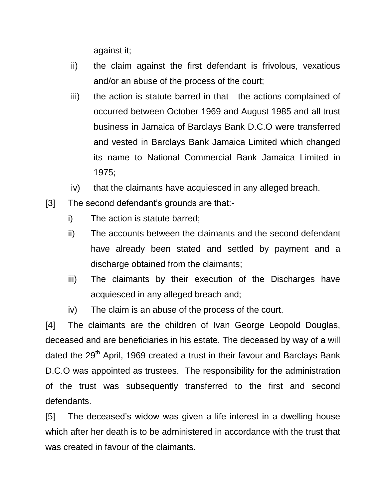against it;

- ii) the claim against the first defendant is frivolous, vexatious and/or an abuse of the process of the court;
- iii) the action is statute barred in that the actions complained of occurred between October 1969 and August 1985 and all trust business in Jamaica of Barclays Bank D.C.O were transferred and vested in Barclays Bank Jamaica Limited which changed its name to National Commercial Bank Jamaica Limited in 1975;
- iv) that the claimants have acquiesced in any alleged breach.
- [3] The second defendant's grounds are that:
	- i) The action is statute barred;
	- ii) The accounts between the claimants and the second defendant have already been stated and settled by payment and a discharge obtained from the claimants;
	- iii) The claimants by their execution of the Discharges have acquiesced in any alleged breach and;
	- iv) The claim is an abuse of the process of the court.

[4] The claimants are the children of Ivan George Leopold Douglas, deceased and are beneficiaries in his estate. The deceased by way of a will dated the 29<sup>th</sup> April, 1969 created a trust in their favour and Barclays Bank D.C.O was appointed as trustees. The responsibility for the administration of the trust was subsequently transferred to the first and second defendants.

[5] The deceased's widow was given a life interest in a dwelling house which after her death is to be administered in accordance with the trust that was created in favour of the claimants.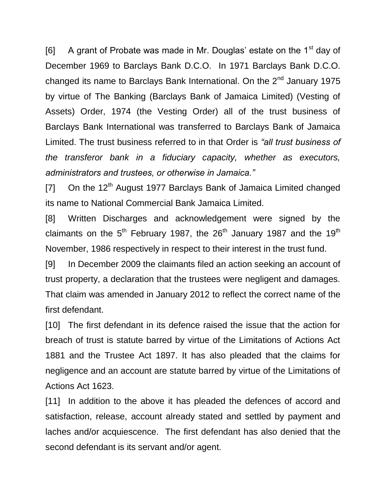[6] A grant of Probate was made in Mr. Douglas' estate on the  $1<sup>st</sup>$  day of December 1969 to Barclays Bank D.C.O. In 1971 Barclays Bank D.C.O. changed its name to Barclays Bank International. On the 2<sup>nd</sup> January 1975 by virtue of The Banking (Barclays Bank of Jamaica Limited) (Vesting of Assets) Order, 1974 (the Vesting Order) all of the trust business of Barclays Bank International was transferred to Barclays Bank of Jamaica Limited. The trust business referred to in that Order is *"all trust business of the transferor bank in a fiduciary capacity, whether as executors, administrators and trustees, or otherwise in Jamaica."*

[7] On the  $12<sup>th</sup>$  August 1977 Barclays Bank of Jamaica Limited changed its name to National Commercial Bank Jamaica Limited.

[8] Written Discharges and acknowledgement were signed by the claimants on the  $5<sup>th</sup>$  February 1987, the  $26<sup>th</sup>$  January 1987 and the 19<sup>th</sup> November, 1986 respectively in respect to their interest in the trust fund.

[9] In December 2009 the claimants filed an action seeking an account of trust property, a declaration that the trustees were negligent and damages. That claim was amended in January 2012 to reflect the correct name of the first defendant.

[10] The first defendant in its defence raised the issue that the action for breach of trust is statute barred by virtue of the Limitations of Actions Act 1881 and the Trustee Act 1897. It has also pleaded that the claims for negligence and an account are statute barred by virtue of the Limitations of Actions Act 1623.

[11] In addition to the above it has pleaded the defences of accord and satisfaction, release, account already stated and settled by payment and laches and/or acquiescence. The first defendant has also denied that the second defendant is its servant and/or agent.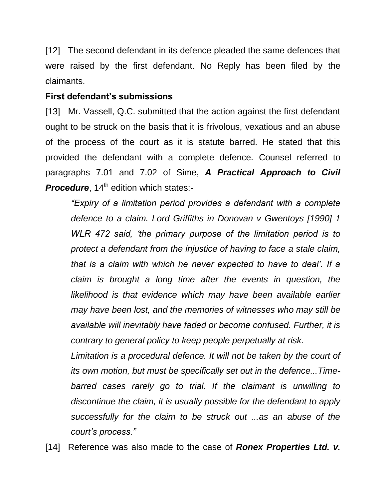[12] The second defendant in its defence pleaded the same defences that were raised by the first defendant. No Reply has been filed by the claimants.

#### **First defendant's submissions**

[13] Mr. Vassell, Q.C. submitted that the action against the first defendant ought to be struck on the basis that it is frivolous, vexatious and an abuse of the process of the court as it is statute barred. He stated that this provided the defendant with a complete defence. Counsel referred to paragraphs 7.01 and 7.02 of Sime, *A Practical Approach to Civil*  **Procedure**, 14<sup>th</sup> edition which states:-

*"Expiry of a limitation period provides a defendant with a complete defence to a claim. Lord Griffiths in Donovan v Gwentoys [1990] 1 WLR 472 said, 'the primary purpose of the limitation period is to protect a defendant from the injustice of having to face a stale claim, that is a claim with which he never expected to have to deal'. If a claim is brought a long time after the events in question, the likelihood is that evidence which may have been available earlier may have been lost, and the memories of witnesses who may still be available will inevitably have faded or become confused. Further, it is contrary to general policy to keep people perpetually at risk.*

Limitation is a procedural defence. It will not be taken by the court of *its own motion, but must be specifically set out in the defence...Timebarred cases rarely go to trial. If the claimant is unwilling to discontinue the claim, it is usually possible for the defendant to apply successfully for the claim to be struck out ...as an abuse of the court's process."* 

[14] Reference was also made to the case of *Ronex Properties Ltd. v.*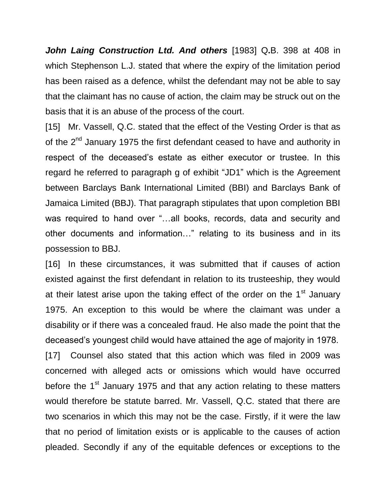*John Laing Construction Ltd. And others* [1983] Q**.**B. 398 at 408 in which Stephenson L.J. stated that where the expiry of the limitation period has been raised as a defence, whilst the defendant may not be able to say that the claimant has no cause of action, the claim may be struck out on the basis that it is an abuse of the process of the court.

[15] Mr. Vassell, Q.C. stated that the effect of the Vesting Order is that as of the 2<sup>nd</sup> January 1975 the first defendant ceased to have and authority in respect of the deceased's estate as either executor or trustee. In this regard he referred to paragraph g of exhibit "JD1" which is the Agreement between Barclays Bank International Limited (BBI) and Barclays Bank of Jamaica Limited (BBJ). That paragraph stipulates that upon completion BBI was required to hand over "...all books, records, data and security and other documents and information…" relating to its business and in its possession to BBJ.

[16] In these circumstances, it was submitted that if causes of action existed against the first defendant in relation to its trusteeship, they would at their latest arise upon the taking effect of the order on the  $1<sup>st</sup>$  January 1975. An exception to this would be where the claimant was under a disability or if there was a concealed fraud. He also made the point that the deceased's youngest child would have attained the age of majority in 1978.

[17] Counsel also stated that this action which was filed in 2009 was concerned with alleged acts or omissions which would have occurred before the  $1<sup>st</sup>$  January 1975 and that any action relating to these matters would therefore be statute barred. Mr. Vassell, Q.C. stated that there are two scenarios in which this may not be the case. Firstly, if it were the law that no period of limitation exists or is applicable to the causes of action pleaded. Secondly if any of the equitable defences or exceptions to the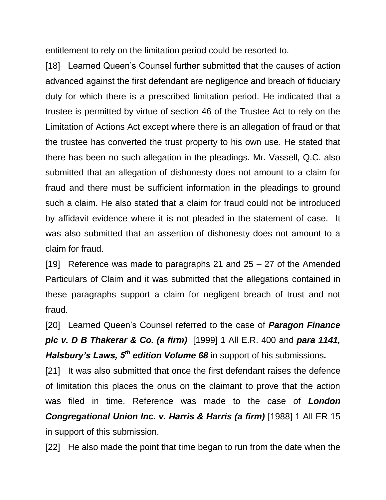entitlement to rely on the limitation period could be resorted to.

[18] Learned Queen's Counsel further submitted that the causes of action advanced against the first defendant are negligence and breach of fiduciary duty for which there is a prescribed limitation period. He indicated that a trustee is permitted by virtue of section 46 of the Trustee Act to rely on the Limitation of Actions Act except where there is an allegation of fraud or that the trustee has converted the trust property to his own use. He stated that there has been no such allegation in the pleadings. Mr. Vassell, Q.C. also submitted that an allegation of dishonesty does not amount to a claim for fraud and there must be sufficient information in the pleadings to ground such a claim. He also stated that a claim for fraud could not be introduced by affidavit evidence where it is not pleaded in the statement of case. It was also submitted that an assertion of dishonesty does not amount to a claim for fraud.

[19] Reference was made to paragraphs 21 and 25 – 27 of the Amended Particulars of Claim and it was submitted that the allegations contained in these paragraphs support a claim for negligent breach of trust and not fraud.

[20] Learned Queen's Counsel referred to the case of *Paragon Finance plc v. D B Thakerar & Co. (a firm)* [1999] 1 All E.R. 400 and *para 1141, Halsbury's Laws, 5th edition Volume 68* in support of his submissions*.*

[21] It was also submitted that once the first defendant raises the defence of limitation this places the onus on the claimant to prove that the action was filed in time. Reference was made to the case of *London*  **Congregational Union Inc. v. Harris & Harris (a firm)** [1988] 1 All ER 15 in support of this submission.

[22] He also made the point that time began to run from the date when the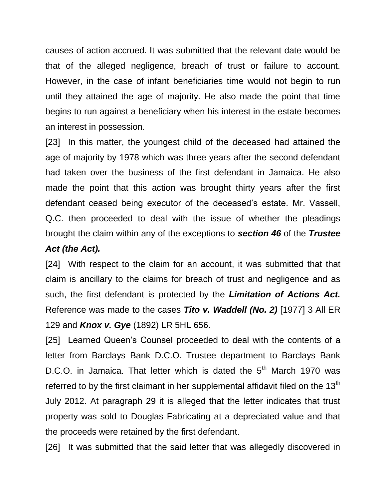causes of action accrued. It was submitted that the relevant date would be that of the alleged negligence, breach of trust or failure to account. However, in the case of infant beneficiaries time would not begin to run until they attained the age of majority. He also made the point that time begins to run against a beneficiary when his interest in the estate becomes an interest in possession.

[23] In this matter, the youngest child of the deceased had attained the age of majority by 1978 which was three years after the second defendant had taken over the business of the first defendant in Jamaica. He also made the point that this action was brought thirty years after the first defendant ceased being executor of the deceased's estate. Mr. Vassell, Q.C. then proceeded to deal with the issue of whether the pleadings brought the claim within any of the exceptions to *section 46* of the *Trustee* 

#### *Act (the Act).*

[24] With respect to the claim for an account, it was submitted that that claim is ancillary to the claims for breach of trust and negligence and as such, the first defendant is protected by the *Limitation of Actions Act.*  Reference was made to the cases *Tito v. Waddell (No. 2)* [1977] 3 All ER 129 and *Knox v. Gye* (1892) LR 5HL 656.

[25] Learned Queen's Counsel proceeded to deal with the contents of a letter from Barclays Bank D.C.O. Trustee department to Barclays Bank D.C.O. in Jamaica. That letter which is dated the  $5<sup>th</sup>$  March 1970 was referred to by the first claimant in her supplemental affidavit filed on the  $13<sup>th</sup>$ July 2012. At paragraph 29 it is alleged that the letter indicates that trust property was sold to Douglas Fabricating at a depreciated value and that the proceeds were retained by the first defendant.

[26] It was submitted that the said letter that was allegedly discovered in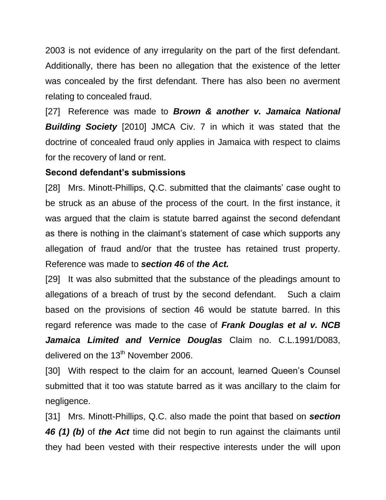2003 is not evidence of any irregularity on the part of the first defendant. Additionally, there has been no allegation that the existence of the letter was concealed by the first defendant. There has also been no averment relating to concealed fraud.

[27] Reference was made to *Brown & another v. Jamaica National Building Society* [2010] JMCA Civ. 7 in which it was stated that the doctrine of concealed fraud only applies in Jamaica with respect to claims for the recovery of land or rent.

# **Second defendant's submissions**

[28] Mrs. Minott-Phillips, Q.C. submitted that the claimants' case ought to be struck as an abuse of the process of the court. In the first instance, it was argued that the claim is statute barred against the second defendant as there is nothing in the claimant's statement of case which supports any allegation of fraud and/or that the trustee has retained trust property. Reference was made to *section 46* of *the Act.* 

[29] It was also submitted that the substance of the pleadings amount to allegations of a breach of trust by the second defendant. Such a claim based on the provisions of section 46 would be statute barred. In this regard reference was made to the case of *Frank Douglas et al v. NCB Jamaica Limited and Vernice Douglas* Claim no. C.L.1991/D083, delivered on the  $13<sup>th</sup>$  November 2006.

[30] With respect to the claim for an account, learned Queen's Counsel submitted that it too was statute barred as it was ancillary to the claim for negligence.

[31] Mrs. Minott-Phillips, Q.C. also made the point that based on *section 46 (1) (b)* of *the Act* time did not begin to run against the claimants until they had been vested with their respective interests under the will upon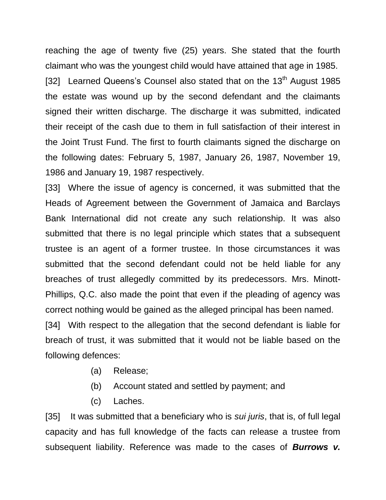reaching the age of twenty five (25) years. She stated that the fourth claimant who was the youngest child would have attained that age in 1985. [32] Learned Queens's Counsel also stated that on the 13<sup>th</sup> August 1985 the estate was wound up by the second defendant and the claimants signed their written discharge. The discharge it was submitted, indicated their receipt of the cash due to them in full satisfaction of their interest in the Joint Trust Fund. The first to fourth claimants signed the discharge on the following dates: February 5, 1987, January 26, 1987, November 19, 1986 and January 19, 1987 respectively.

[33] Where the issue of agency is concerned, it was submitted that the Heads of Agreement between the Government of Jamaica and Barclays Bank International did not create any such relationship. It was also submitted that there is no legal principle which states that a subsequent trustee is an agent of a former trustee. In those circumstances it was submitted that the second defendant could not be held liable for any breaches of trust allegedly committed by its predecessors. Mrs. Minott-Phillips, Q.C. also made the point that even if the pleading of agency was correct nothing would be gained as the alleged principal has been named. [34] With respect to the allegation that the second defendant is liable for breach of trust, it was submitted that it would not be liable based on the following defences:

- (a) Release;
- (b) Account stated and settled by payment; and
- (c) Laches.

[35] It was submitted that a beneficiary who is *sui juris*, that is, of full legal capacity and has full knowledge of the facts can release a trustee from subsequent liability. Reference was made to the cases of *Burrows v.*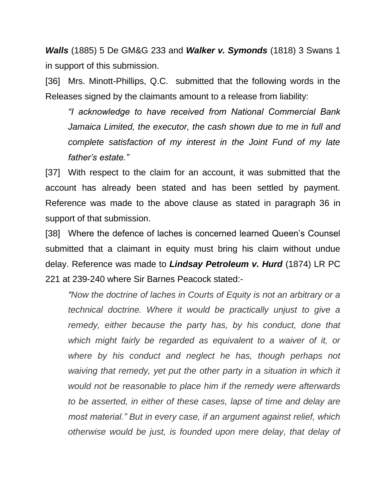*Walls* (1885) 5 De GM&G 233 and *Walker v. Symonds* (1818) 3 Swans 1 in support of this submission.

[36] Mrs. Minott-Phillips, Q.C. submitted that the following words in the Releases signed by the claimants amount to a release from liability:

*"I acknowledge to have received from National Commercial Bank Jamaica Limited, the executor, the cash shown due to me in full and complete satisfaction of my interest in the Joint Fund of my late father's estate."*

[37] With respect to the claim for an account, it was submitted that the account has already been stated and has been settled by payment. Reference was made to the above clause as stated in paragraph 36 in support of that submission.

[38] Where the defence of laches is concerned learned Queen's Counsel submitted that a claimant in equity must bring his claim without undue delay. Reference was made to *Lindsay Petroleum v. Hurd* (1874) LR PC 221 at 239-240 where Sir Barnes Peacock stated:-

*"Now the doctrine of laches in Courts of Equity is not an arbitrary or a technical doctrine. Where it would be practically unjust to give a remedy, either because the party has, by his conduct, done that*  which might fairly be regarded as equivalent to a waiver of it, or *where by his conduct and neglect he has, though perhaps not waiving that remedy, yet put the other party in a situation in which it would not be reasonable to place him if the remedy were afterwards to be asserted, in either of these cases, lapse of time and delay are most material." But in every case, if an argument against relief, which otherwise would be just, is founded upon mere delay, that delay of*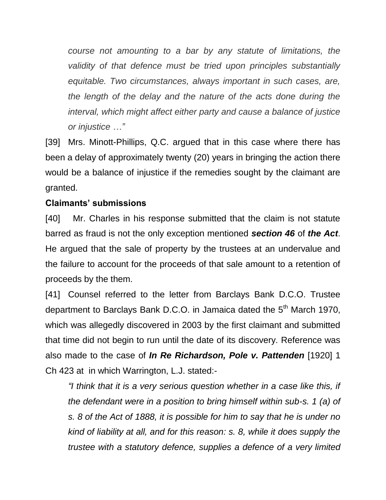*course not amounting to a bar by any statute of limitations, the validity of that defence must be tried upon principles substantially equitable. Two circumstances, always important in such cases, are, the length of the delay and the nature of the acts done during the interval, which might affect either party and cause a balance of justice or injustice …"* 

[39] Mrs. Minott-Phillips, Q.C. argued that in this case where there has been a delay of approximately twenty (20) years in bringing the action there would be a balance of injustice if the remedies sought by the claimant are granted.

# **Claimants' submissions**

[40] Mr. Charles in his response submitted that the claim is not statute barred as fraud is not the only exception mentioned *section 46* of *the Act*. He argued that the sale of property by the trustees at an undervalue and the failure to account for the proceeds of that sale amount to a retention of proceeds by the them.

[41] Counsel referred to the letter from Barclays Bank D.C.O. Trustee department to Barclays Bank D.C.O. in Jamaica dated the 5<sup>th</sup> March 1970, which was allegedly discovered in 2003 by the first claimant and submitted that time did not begin to run until the date of its discovery. Reference was also made to the case of *In Re Richardson, Pole v. Pattenden* [1920] 1 Ch 423 at in which Warrington, L.J. stated:-

*"I think that it is a very serious question whether in a case like this, if the defendant were in a position to bring himself within sub-s. 1 (a) of s. 8 of the Act of 1888, it is possible for him to say that he is under no kind of liability at all, and for this reason: s. 8, while it does supply the trustee with a statutory defence, supplies a defence of a very limited*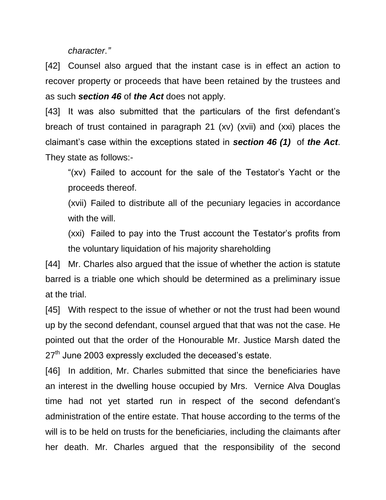*character."*

[42] Counsel also argued that the instant case is in effect an action to recover property or proceeds that have been retained by the trustees and as such *section 46* of *the Act* does not apply.

[43] It was also submitted that the particulars of the first defendant's breach of trust contained in paragraph 21 (xv) (xvii) and (xxi) places the claimant's case within the exceptions stated in *section 46 (1)* of *the Act*. They state as follows:-

"(xv) Failed to account for the sale of the Testator's Yacht or the proceeds thereof.

(xvii) Failed to distribute all of the pecuniary legacies in accordance with the will.

(xxi) Failed to pay into the Trust account the Testator's profits from the voluntary liquidation of his majority shareholding

[44] Mr. Charles also argued that the issue of whether the action is statute barred is a triable one which should be determined as a preliminary issue at the trial.

[45] With respect to the issue of whether or not the trust had been wound up by the second defendant, counsel argued that that was not the case. He pointed out that the order of the Honourable Mr. Justice Marsh dated the 27<sup>th</sup> June 2003 expressly excluded the deceased's estate.

[46] In addition, Mr. Charles submitted that since the beneficiaries have an interest in the dwelling house occupied by Mrs. Vernice Alva Douglas time had not yet started run in respect of the second defendant's administration of the entire estate. That house according to the terms of the will is to be held on trusts for the beneficiaries, including the claimants after her death. Mr. Charles argued that the responsibility of the second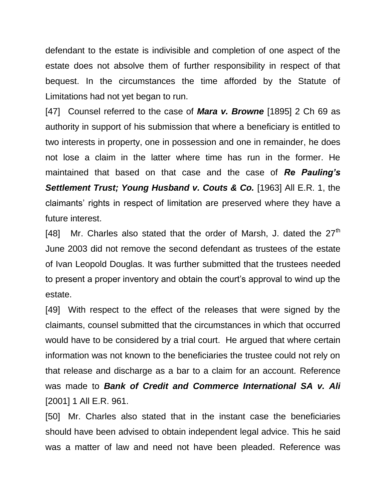defendant to the estate is indivisible and completion of one aspect of the estate does not absolve them of further responsibility in respect of that bequest. In the circumstances the time afforded by the Statute of Limitations had not yet began to run.

[47] Counsel referred to the case of *Mara v. Browne* [1895] 2 Ch 69 as authority in support of his submission that where a beneficiary is entitled to two interests in property, one in possession and one in remainder, he does not lose a claim in the latter where time has run in the former. He maintained that based on that case and the case of *Re Pauling's*  **Settlement Trust; Young Husband v. Couts & Co.** [1963] All E.R. 1, the claimants' rights in respect of limitation are preserved where they have a future interest.

[48] Mr. Charles also stated that the order of Marsh, J. dated the  $27<sup>th</sup>$ June 2003 did not remove the second defendant as trustees of the estate of Ivan Leopold Douglas. It was further submitted that the trustees needed to present a proper inventory and obtain the court's approval to wind up the estate.

[49] With respect to the effect of the releases that were signed by the claimants, counsel submitted that the circumstances in which that occurred would have to be considered by a trial court. He argued that where certain information was not known to the beneficiaries the trustee could not rely on that release and discharge as a bar to a claim for an account. Reference was made to *Bank of Credit and Commerce International SA v. Ali*  [2001] 1 All E.R. 961.

[50] Mr. Charles also stated that in the instant case the beneficiaries should have been advised to obtain independent legal advice. This he said was a matter of law and need not have been pleaded. Reference was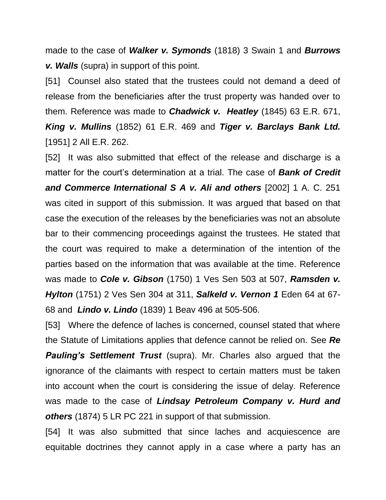made to the case of *Walker v. Symonds* (1818) 3 Swain 1 and *Burrows v. Walls* (supra) in support of this point.

[51] Counsel also stated that the trustees could not demand a deed of release from the beneficiaries after the trust property was handed over to them. Reference was made to *Chadwick v. Heatley* (1845) 63 E.R. 671, *King v. Mullins* (1852) 61 E.R. 469 and *Tiger v. Barclays Bank Ltd.*  [1951] 2 All E.R. 262.

[52] It was also submitted that effect of the release and discharge is a matter for the court's determination at a trial. The case of *Bank of Credit and Commerce International S A v. Ali and others* [2002] 1 A. C. 251 was cited in support of this submission. It was argued that based on that case the execution of the releases by the beneficiaries was not an absolute bar to their commencing proceedings against the trustees. He stated that the court was required to make a determination of the intention of the parties based on the information that was available at the time. Reference was made to *Cole v. Gibson* (1750) 1 Ves Sen 503 at 507, *Ramsden v. Hylton* (1751) 2 Ves Sen 304 at 311, *Salkeld v. Vernon 1* Eden 64 at 67- 68 and *Lindo v. Lindo* (1839) 1 Beav 496 at 505-506.

[53] Where the defence of laches is concerned, counsel stated that where the Statute of Limitations applies that defence cannot be relied on. See *Re Pauling's Settlement Trust* (supra). Mr. Charles also argued that the ignorance of the claimants with respect to certain matters must be taken into account when the court is considering the issue of delay. Reference was made to the case of *Lindsay Petroleum Company v. Hurd and others* (1874) 5 LR PC 221 in support of that submission.

[54] It was also submitted that since laches and acquiescence are equitable doctrines they cannot apply in a case where a party has an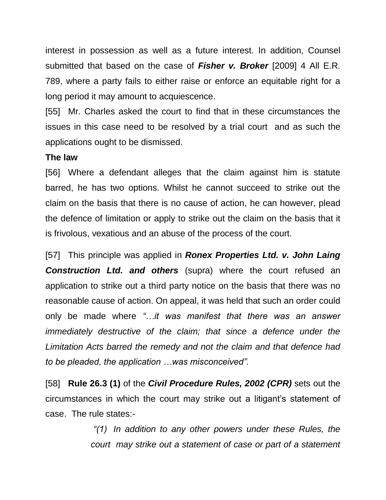interest in possession as well as a future interest. In addition, Counsel submitted that based on the case of *Fisher v. Broker* [2009] 4 All E.R. 789, where a party fails to either raise or enforce an equitable right for a long period it may amount to acquiescence.

[55] Mr. Charles asked the court to find that in these circumstances the issues in this case need to be resolved by a trial court and as such the applications ought to be dismissed.

#### **The law**

[56] Where a defendant alleges that the claim against him is statute barred, he has two options. Whilst he cannot succeed to strike out the claim on the basis that there is no cause of action, he can however, plead the defence of limitation or apply to strike out the claim on the basis that it is frivolous, vexatious and an abuse of the process of the court.

[57] This principle was applied in *Ronex Properties Ltd. v. John Laing Construction Ltd. and others* (supra) where the court refused an application to strike out a third party notice on the basis that there was no reasonable cause of action. On appeal, it was held that such an order could only be made where *"…it was manifest that there was an answer immediately destructive of the claim; that since a defence under the Limitation Acts barred the remedy and not the claim and that defence had to be pleaded, the application …was misconceived".*

[58] **Rule 26.3 (1)** of the *Civil Procedure Rules, 2002 (CPR)* sets out the circumstances in which the court may strike out a litigant's statement of case. The rule states:-

> *"(1) In addition to any other powers under these Rules, the court may strike out a statement of case or part of a statement*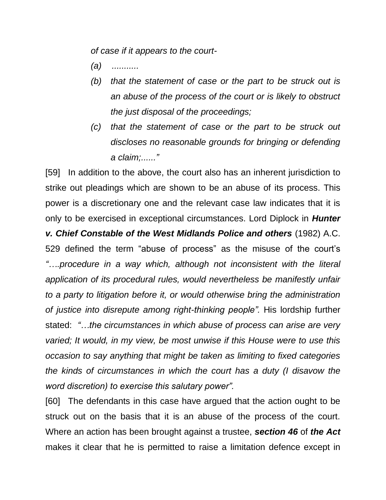*of case if it appears to the court-*

- *(a) ...........*
- *(b) that the statement of case or the part to be struck out is an abuse of the process of the court or is likely to obstruct the just disposal of the proceedings;*
- *(c) that the statement of case or the part to be struck out discloses no reasonable grounds for bringing or defending a claim;......"*

[59] In addition to the above, the court also has an inherent jurisdiction to strike out pleadings which are shown to be an abuse of its process. This power is a discretionary one and the relevant case law indicates that it is only to be exercised in exceptional circumstances. Lord Diplock in *Hunter v. Chief Constable of the West Midlands Police and others* (1982) A.C. 529 defined the term "abuse of process" as the misuse of the court's *"….procedure in a way which, although not inconsistent with the literal application of its procedural rules, would nevertheless be manifestly unfair to a party to litigation before it, or would otherwise bring the administration of justice into disrepute among right-thinking people".* His lordship further stated: *"…the circumstances in which abuse of process can arise are very varied; It would, in my view, be most unwise if this House were to use this occasion to say anything that might be taken as limiting to fixed categories the kinds of circumstances in which the court has a duty (I disavow the word discretion) to exercise this salutary power".*

[60] The defendants in this case have argued that the action ought to be struck out on the basis that it is an abuse of the process of the court. Where an action has been brought against a trustee, *section 46* of *the Act* makes it clear that he is permitted to raise a limitation defence except in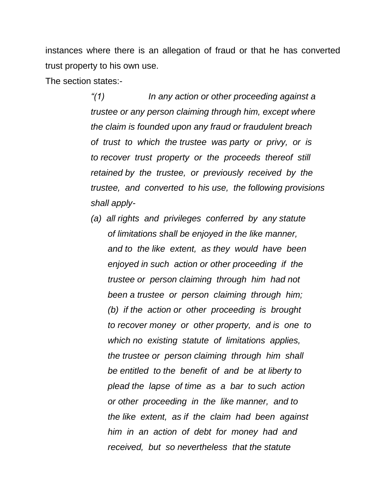instances where there is an allegation of fraud or that he has converted trust property to his own use.

The section states:-

*"(1) In any action or other proceeding against a trustee or any person claiming through him, except where the claim is founded upon any fraud or fraudulent breach of trust to which the trustee was party or privy, or is to recover trust property or the proceeds thereof still retained by the trustee, or previously received by the trustee, and converted to his use, the following provisions shall apply-*

*(a) all rights and privileges conferred by any statute of limitations shall be enjoyed in the like manner, and to the like extent, as they would have been enjoyed in such action or other proceeding if the trustee or person claiming through him had not been a trustee or person claiming through him; (b) if the action or other proceeding is brought to recover money or other property, and is one to which no existing statute of limitations applies, the trustee or person claiming through him shall be entitled to the benefit of and be at liberty to plead the lapse of time as a bar to such action or other proceeding in the like manner, and to the like extent, as if the claim had been against him in an action of debt for money had and received, but so nevertheless that the statute*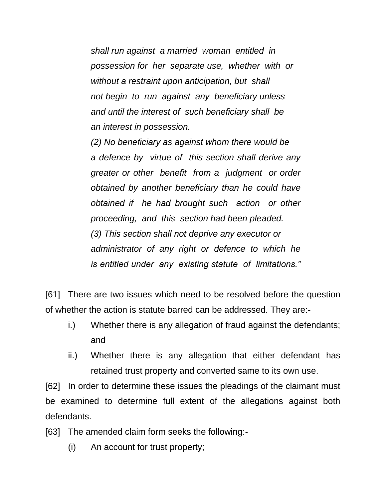*shall run against a married woman entitled in possession for her separate use, whether with or without a restraint upon anticipation, but shall not begin to run against any beneficiary unless and until the interest of such beneficiary shall be an interest in possession.* 

*(2) No beneficiary as against whom there would be a defence by virtue of this section shall derive any greater or other benefit from a judgment or order obtained by another beneficiary than he could have obtained if he had brought such action or other proceeding, and this section had been pleaded. (3) This section shall not deprive any executor or administrator of any right or defence to which he is entitled under any existing statute of limitations."*

[61] There are two issues which need to be resolved before the question of whether the action is statute barred can be addressed. They are:-

- i.) Whether there is any allegation of fraud against the defendants; and
- ii.) Whether there is any allegation that either defendant has retained trust property and converted same to its own use.

[62] In order to determine these issues the pleadings of the claimant must be examined to determine full extent of the allegations against both defendants.

[63] The amended claim form seeks the following:-

(i) An account for trust property;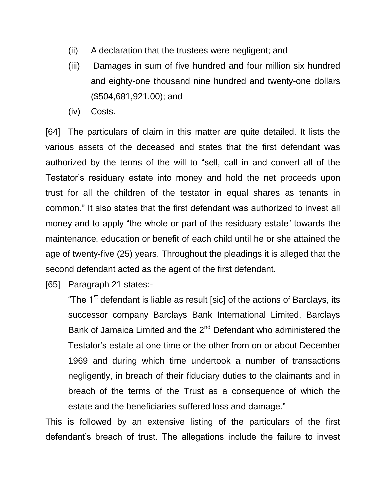- (ii) A declaration that the trustees were negligent; and
- (iii) Damages in sum of five hundred and four million six hundred and eighty-one thousand nine hundred and twenty-one dollars (\$504,681,921.00); and
- (iv) Costs.

[64] The particulars of claim in this matter are quite detailed. It lists the various assets of the deceased and states that the first defendant was authorized by the terms of the will to "sell, call in and convert all of the Testator's residuary estate into money and hold the net proceeds upon trust for all the children of the testator in equal shares as tenants in common." It also states that the first defendant was authorized to invest all money and to apply "the whole or part of the residuary estate" towards the maintenance, education or benefit of each child until he or she attained the age of twenty-five (25) years. Throughout the pleadings it is alleged that the second defendant acted as the agent of the first defendant.

[65] Paragraph 21 states:-

"The 1<sup>st</sup> defendant is liable as result [sic] of the actions of Barclays, its successor company Barclays Bank International Limited, Barclays Bank of Jamaica Limited and the 2<sup>nd</sup> Defendant who administered the Testator's estate at one time or the other from on or about December 1969 and during which time undertook a number of transactions negligently, in breach of their fiduciary duties to the claimants and in breach of the terms of the Trust as a consequence of which the estate and the beneficiaries suffered loss and damage."

This is followed by an extensive listing of the particulars of the first defendant's breach of trust. The allegations include the failure to invest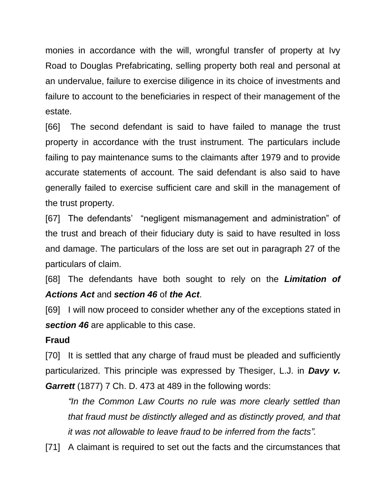monies in accordance with the will, wrongful transfer of property at Ivy Road to Douglas Prefabricating, selling property both real and personal at an undervalue, failure to exercise diligence in its choice of investments and failure to account to the beneficiaries in respect of their management of the estate.

[66] The second defendant is said to have failed to manage the trust property in accordance with the trust instrument. The particulars include failing to pay maintenance sums to the claimants after 1979 and to provide accurate statements of account. The said defendant is also said to have generally failed to exercise sufficient care and skill in the management of the trust property.

[67] The defendants' "negligent mismanagement and administration" of the trust and breach of their fiduciary duty is said to have resulted in loss and damage. The particulars of the loss are set out in paragraph 27 of the particulars of claim.

[68] The defendants have both sought to rely on the *Limitation of Actions Act* and *section 46* of *the Act*.

[69] I will now proceed to consider whether any of the exceptions stated in *section 46* are applicable to this case.

# **Fraud**

[70] It is settled that any charge of fraud must be pleaded and sufficiently particularized. This principle was expressed by Thesiger, L.J. in *Davy v. Garrett* (1877) 7 Ch. D. 473 at 489 in the following words:

*"In the Common Law Courts no rule was more clearly settled than that fraud must be distinctly alleged and as distinctly proved, and that it was not allowable to leave fraud to be inferred from the facts".*

[71] A claimant is required to set out the facts and the circumstances that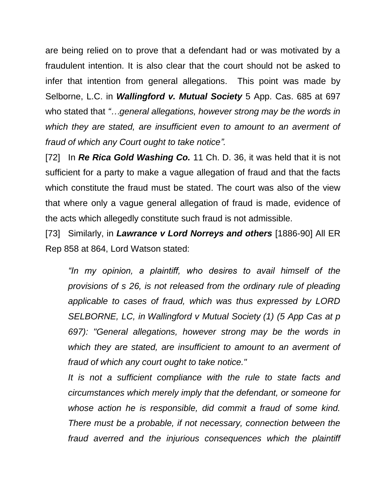are being relied on to prove that a defendant had or was motivated by a fraudulent intention. It is also clear that the court should not be asked to infer that intention from general allegations. This point was made by Selborne, L.C. in *Wallingford v. Mutual Society* 5 App. Cas. 685 at 697 who stated that *"…general allegations, however strong may be the words in which they are stated, are insufficient even to amount to an averment of fraud of which any Court ought to take notice".*

[72] In *Re Rica Gold Washing Co.* 11 Ch. D. 36, it was held that it is not sufficient for a party to make a vague allegation of fraud and that the facts which constitute the fraud must be stated. The court was also of the view that where only a vague general allegation of fraud is made, evidence of the acts which allegedly constitute such fraud is not admissible.

[73] Similarly, in *Lawrance v Lord Norreys and others* [1886-90] All ER Rep 858 at 864, Lord Watson stated:

*"In my opinion, a plaintiff, who desires to avail himself of the provisions of s 26, is not released from the ordinary rule of pleading applicable to cases of fraud, which was thus expressed by LORD SELBORNE, LC, in Wallingford v Mutual Society (1) (5 App Cas at p 697): "General allegations, however strong may be the words in which they are stated, are insufficient to amount to an averment of fraud of which any court ought to take notice."*

*It is not a sufficient compliance with the rule to state facts and circumstances which merely imply that the defendant, or someone for whose action he is responsible, did commit a fraud of some kind. There must be a probable, if not necessary, connection between the fraud averred and the injurious consequences which the plaintiff*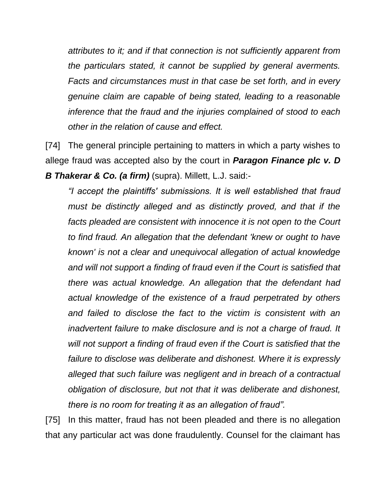*attributes to it; and if that connection is not sufficiently apparent from the particulars stated, it cannot be supplied by general averments. Facts and circumstances must in that case be set forth, and in every genuine claim are capable of being stated, leading to a reasonable inference that the fraud and the injuries complained of stood to each other in the relation of cause and effect.*

[74] The general principle pertaining to matters in which a party wishes to allege fraud was accepted also by the court in *Paragon Finance plc v. D B Thakerar & Co. (a firm)* (supra). Millett, L.J. said:-

*"I accept the plaintiffs' submissions. It is well established that fraud must be distinctly alleged and as distinctly proved, and that if the*  facts pleaded are consistent with innocence it is not open to the Court *to find fraud. An allegation that the defendant 'knew or ought to have known' is not a clear and unequivocal allegation of actual knowledge and will not support a finding of fraud even if the Court is satisfied that there was actual knowledge. An allegation that the defendant had actual knowledge of the existence of a fraud perpetrated by others and failed to disclose the fact to the victim is consistent with an inadvertent failure to make disclosure and is not a charge of fraud. It will not support a finding of fraud even if the Court is satisfied that the failure to disclose was deliberate and dishonest. Where it is expressly alleged that such failure was negligent and in breach of a contractual obligation of disclosure, but not that it was deliberate and dishonest, there is no room for treating it as an allegation of fraud".*

[75] In this matter, fraud has not been pleaded and there is no allegation that any particular act was done fraudulently. Counsel for the claimant has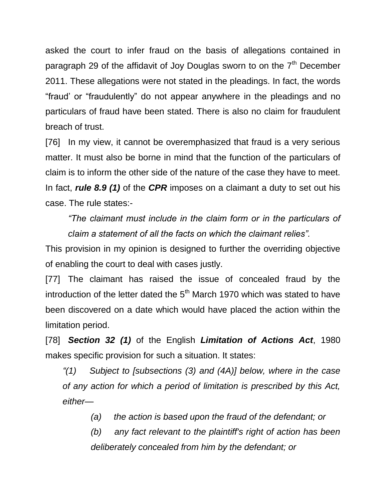asked the court to infer fraud on the basis of allegations contained in paragraph 29 of the affidavit of Joy Douglas sworn to on the  $7<sup>th</sup>$  December 2011. These allegations were not stated in the pleadings. In fact, the words "fraud' or "fraudulently" do not appear anywhere in the pleadings and no particulars of fraud have been stated. There is also no claim for fraudulent breach of trust.

[76] In my view, it cannot be overemphasized that fraud is a very serious matter. It must also be borne in mind that the function of the particulars of claim is to inform the other side of the nature of the case they have to meet. In fact, *rule 8.9 (1)* of the *CPR* imposes on a claimant a duty to set out his case. The rule states:-

*"The claimant must include in the claim form or in the particulars of claim a statement of all the facts on which the claimant relies".*

This provision in my opinion is designed to further the overriding objective of enabling the court to deal with cases justly.

[77] The claimant has raised the issue of concealed fraud by the introduction of the letter dated the  $5<sup>th</sup>$  March 1970 which was stated to have been discovered on a date which would have placed the action within the limitation period.

[78] *Section 32 (1)* of the English *Limitation of Actions Act*, 1980 makes specific provision for such a situation. It states:

*"(1) Subject to [subsections (3) and (4A)] below, where in the case of any action for which a period of limitation is prescribed by this Act, either—*

*(a) the action is based upon the fraud of the defendant; or*

*(b) any fact relevant to the plaintiff's right of action has been deliberately concealed from him by the defendant; or*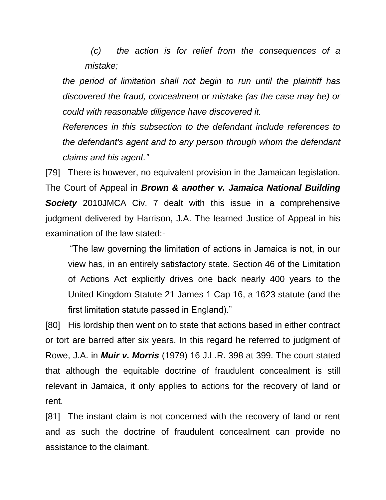*(c) the action is for relief from the consequences of a mistake;*

*the period of limitation shall not begin to run until the plaintiff has discovered the fraud, concealment or mistake (as the case may be) or could with reasonable diligence have discovered it.*

*References in this subsection to the defendant include references to the defendant's agent and to any person through whom the defendant claims and his agent."*

[79] There is however, no equivalent provision in the Jamaican legislation. The Court of Appeal in *Brown & another v. Jamaica National Building Society* 2010JMCA Civ. 7 dealt with this issue in a comprehensive judgment delivered by Harrison, J.A. The learned Justice of Appeal in his examination of the law stated:-

"The law governing the limitation of actions in Jamaica is not, in our view has, in an entirely satisfactory state. Section 46 of the Limitation of Actions Act explicitly drives one back nearly 400 years to the United Kingdom Statute 21 James 1 Cap 16, a 1623 statute (and the first limitation statute passed in England)."

[80] His lordship then went on to state that actions based in either contract or tort are barred after six years. In this regard he referred to judgment of Rowe, J.A. in *Muir v. Morris* (1979) 16 J.L.R. 398 at 399. The court stated that although the equitable doctrine of fraudulent concealment is still relevant in Jamaica, it only applies to actions for the recovery of land or rent.

[81] The instant claim is not concerned with the recovery of land or rent and as such the doctrine of fraudulent concealment can provide no assistance to the claimant.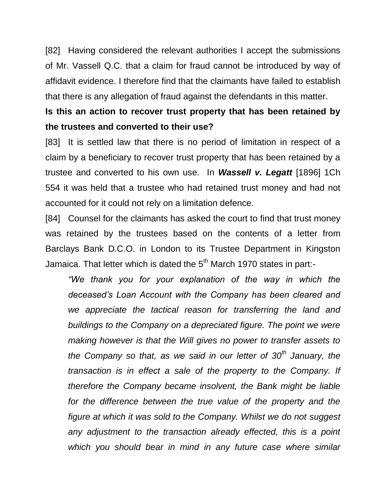[82] Having considered the relevant authorities I accept the submissions of Mr. Vassell Q.C. that a claim for fraud cannot be introduced by way of affidavit evidence. I therefore find that the claimants have failed to establish that there is any allegation of fraud against the defendants in this matter.

# **Is this an action to recover trust property that has been retained by the trustees and converted to their use?**

[83] It is settled law that there is no period of limitation in respect of a claim by a beneficiary to recover trust property that has been retained by a trustee and converted to his own use. In *Wassell v. Legatt* [1896] 1Ch 554 it was held that a trustee who had retained trust money and had not accounted for it could not rely on a limitation defence.

[84] Counsel for the claimants has asked the court to find that trust money was retained by the trustees based on the contents of a letter from Barclays Bank D.C.O. in London to its Trustee Department in Kingston Jamaica. That letter which is dated the  $5<sup>th</sup>$  March 1970 states in part:-

*"We thank you for your explanation of the way in which the deceased's Loan Account with the Company has been cleared and we appreciate the tactical reason for transferring the land and buildings to the Company on a depreciated figure. The point we were making however is that the Will gives no power to transfer assets to the Company so that, as we said in our letter of 30th January, the transaction is in effect a sale of the property to the Company. If therefore the Company became insolvent, the Bank might be liable*  for the difference between the true value of the property and the *figure at which it was sold to the Company. Whilst we do not suggest any adjustment to the transaction already effected, this is a point which you should bear in mind in any future case where similar*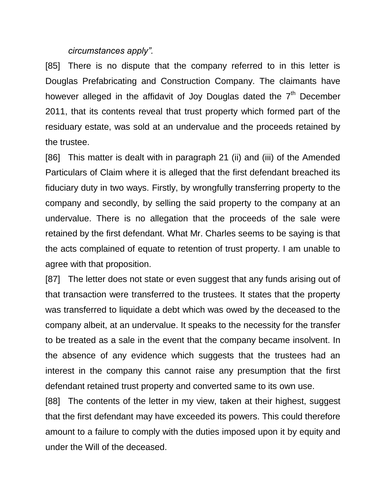#### *circumstances apply".*

[85] There is no dispute that the company referred to in this letter is Douglas Prefabricating and Construction Company. The claimants have however alleged in the affidavit of Joy Douglas dated the  $7<sup>th</sup>$  December 2011, that its contents reveal that trust property which formed part of the residuary estate, was sold at an undervalue and the proceeds retained by the trustee.

[86] This matter is dealt with in paragraph 21 (ii) and (iii) of the Amended Particulars of Claim where it is alleged that the first defendant breached its fiduciary duty in two ways. Firstly, by wrongfully transferring property to the company and secondly, by selling the said property to the company at an undervalue. There is no allegation that the proceeds of the sale were retained by the first defendant. What Mr. Charles seems to be saying is that the acts complained of equate to retention of trust property. I am unable to agree with that proposition.

[87] The letter does not state or even suggest that any funds arising out of that transaction were transferred to the trustees. It states that the property was transferred to liquidate a debt which was owed by the deceased to the company albeit, at an undervalue. It speaks to the necessity for the transfer to be treated as a sale in the event that the company became insolvent. In the absence of any evidence which suggests that the trustees had an interest in the company this cannot raise any presumption that the first defendant retained trust property and converted same to its own use.

[88] The contents of the letter in my view, taken at their highest, suggest that the first defendant may have exceeded its powers. This could therefore amount to a failure to comply with the duties imposed upon it by equity and under the Will of the deceased.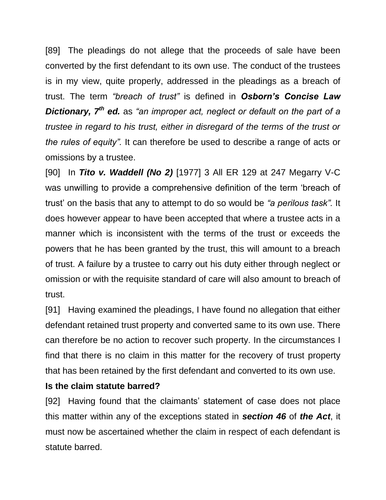[89] The pleadings do not allege that the proceeds of sale have been converted by the first defendant to its own use. The conduct of the trustees is in my view, quite properly, addressed in the pleadings as a breach of trust. The term *"breach of trust"* is defined in *Osborn's Concise Law Dictionary, 7th ed.* as *"an improper act, neglect or default on the part of a trustee in regard to his trust, either in disregard of the terms of the trust or the rules of equity".* It can therefore be used to describe a range of acts or omissions by a trustee.

[90] In *Tito v. Waddell (No 2)* [1977] 3 All ER 129 at 247 Megarry V-C was unwilling to provide a comprehensive definition of the term 'breach of trust' on the basis that any to attempt to do so would be *"a perilous task".* It does however appear to have been accepted that where a trustee acts in a manner which is inconsistent with the terms of the trust or exceeds the powers that he has been granted by the trust, this will amount to a breach of trust. A failure by a trustee to carry out his duty either through neglect or omission or with the requisite standard of care will also amount to breach of trust.

[91] Having examined the pleadings, I have found no allegation that either defendant retained trust property and converted same to its own use. There can therefore be no action to recover such property. In the circumstances I find that there is no claim in this matter for the recovery of trust property that has been retained by the first defendant and converted to its own use.

### **Is the claim statute barred?**

[92] Having found that the claimants' statement of case does not place this matter within any of the exceptions stated in *section 46* of *the Act*, it must now be ascertained whether the claim in respect of each defendant is statute barred.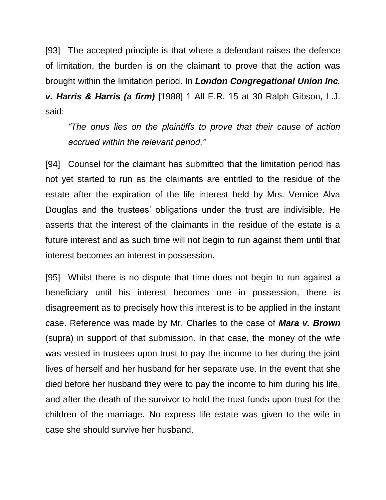[93] The accepted principle is that where a defendant raises the defence of limitation, the burden is on the claimant to prove that the action was brought within the limitation period. In *London Congregational Union Inc. v. Harris & Harris (a firm)* [1988] 1 All E.R. 15 at 30 Ralph Gibson, L.J. said:

*"The onus lies on the plaintiffs to prove that their cause of action accrued within the relevant period."*

[94] Counsel for the claimant has submitted that the limitation period has not yet started to run as the claimants are entitled to the residue of the estate after the expiration of the life interest held by Mrs. Vernice Alva Douglas and the trustees' obligations under the trust are indivisible. He asserts that the interest of the claimants in the residue of the estate is a future interest and as such time will not begin to run against them until that interest becomes an interest in possession.

[95] Whilst there is no dispute that time does not begin to run against a beneficiary until his interest becomes one in possession, there is disagreement as to precisely how this interest is to be applied in the instant case. Reference was made by Mr. Charles to the case of *Mara v. Brown*  (supra) in support of that submission. In that case, the money of the wife was vested in trustees upon trust to pay the income to her during the joint lives of herself and her husband for her separate use. In the event that she died before her husband they were to pay the income to him during his life, and after the death of the survivor to hold the trust funds upon trust for the children of the marriage. No express life estate was given to the wife in case she should survive her husband.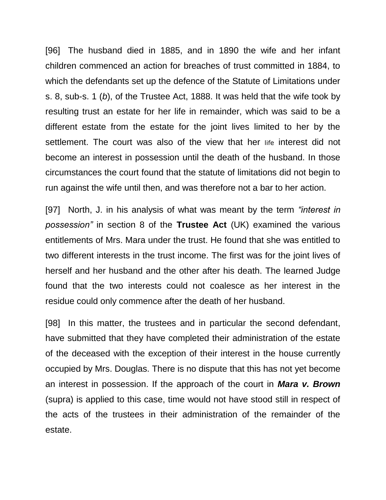[96] The husband died in 1885, and in 1890 the wife and her infant children commenced an action for breaches of trust committed in 1884, to which the defendants set up the defence of the Statute of Limitations under s. 8, sub-s. 1 (*b*), of the Trustee Act, 1888. It was held that the wife took by resulting trust an estate for her life in remainder, which was said to be a different estate from the estate for the joint lives limited to her by the settlement. The court was also of the view that her life interest did not become an interest in possession until the death of the husband. In those circumstances the court found that the statute of limitations did not begin to run against the wife until then, and was therefore not a bar to her action.

[97] North, J. in his analysis of what was meant by the term *"interest in possession"* in section 8 of the **Trustee Act** (UK) examined the various entitlements of Mrs. Mara under the trust. He found that she was entitled to two different interests in the trust income. The first was for the joint lives of herself and her husband and the other after his death. The learned Judge found that the two interests could not coalesce as her interest in the residue could only commence after the death of her husband.

[98] In this matter, the trustees and in particular the second defendant, have submitted that they have completed their administration of the estate of the deceased with the exception of their interest in the house currently occupied by Mrs. Douglas. There is no dispute that this has not yet become an interest in possession. If the approach of the court in *Mara v. Brown*  (supra) is applied to this case, time would not have stood still in respect of the acts of the trustees in their administration of the remainder of the estate.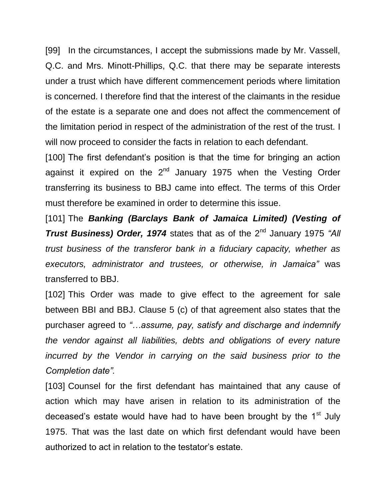[99] In the circumstances, I accept the submissions made by Mr. Vassell, Q.C. and Mrs. Minott-Phillips, Q.C. that there may be separate interests under a trust which have different commencement periods where limitation is concerned. I therefore find that the interest of the claimants in the residue of the estate is a separate one and does not affect the commencement of the limitation period in respect of the administration of the rest of the trust. I will now proceed to consider the facts in relation to each defendant.

[100] The first defendant's position is that the time for bringing an action against it expired on the 2<sup>nd</sup> January 1975 when the Vesting Order transferring its business to BBJ came into effect. The terms of this Order must therefore be examined in order to determine this issue.

[101] The **Banking (Barclays Bank of Jamaica Limited) (Vesting of Trust Business) Order, 1974** states that as of the 2<sup>nd</sup> January 1975 "All *trust business of the transferor bank in a fiduciary capacity, whether as executors, administrator and trustees, or otherwise, in Jamaica"* was transferred to BBJ.

[102] This Order was made to give effect to the agreement for sale between BBI and BBJ. Clause 5 (c) of that agreement also states that the purchaser agreed to *"…assume, pay, satisfy and discharge and indemnify the vendor against all liabilities, debts and obligations of every nature incurred by the Vendor in carrying on the said business prior to the Completion date".*

[103] Counsel for the first defendant has maintained that any cause of action which may have arisen in relation to its administration of the deceased's estate would have had to have been brought by the 1<sup>st</sup> July 1975. That was the last date on which first defendant would have been authorized to act in relation to the testator's estate.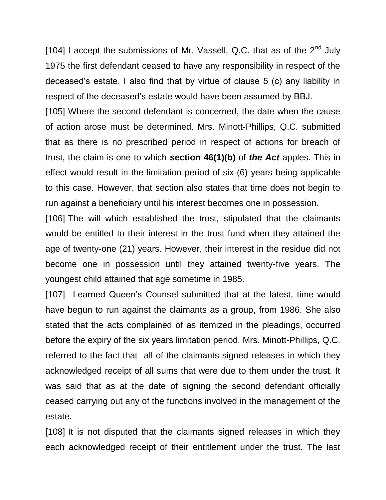[104] I accept the submissions of Mr. Vassell, Q.C. that as of the  $2<sup>nd</sup>$  July 1975 the first defendant ceased to have any responsibility in respect of the deceased's estate. I also find that by virtue of clause 5 (c) any liability in respect of the deceased's estate would have been assumed by BBJ.

[105] Where the second defendant is concerned, the date when the cause of action arose must be determined. Mrs. Minott-Phillips, Q.C. submitted that as there is no prescribed period in respect of actions for breach of trust, the claim is one to which **section 46(1)(b)** of *the Act* apples. This in effect would result in the limitation period of six (6) years being applicable to this case. However, that section also states that time does not begin to run against a beneficiary until his interest becomes one in possession.

[106] The will which established the trust, stipulated that the claimants would be entitled to their interest in the trust fund when they attained the age of twenty-one (21) years. However, their interest in the residue did not become one in possession until they attained twenty-five years. The youngest child attained that age sometime in 1985.

[107] Learned Queen's Counsel submitted that at the latest, time would have begun to run against the claimants as a group, from 1986. She also stated that the acts complained of as itemized in the pleadings, occurred before the expiry of the six years limitation period. Mrs. Minott-Phillips, Q.C. referred to the fact that all of the claimants signed releases in which they acknowledged receipt of all sums that were due to them under the trust. It was said that as at the date of signing the second defendant officially ceased carrying out any of the functions involved in the management of the estate.

[108] It is not disputed that the claimants signed releases in which they each acknowledged receipt of their entitlement under the trust. The last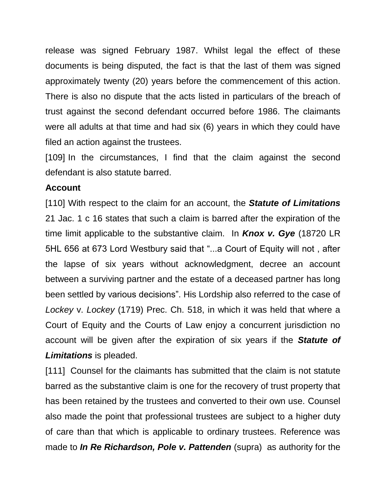release was signed February 1987. Whilst legal the effect of these documents is being disputed, the fact is that the last of them was signed approximately twenty (20) years before the commencement of this action. There is also no dispute that the acts listed in particulars of the breach of trust against the second defendant occurred before 1986. The claimants were all adults at that time and had six (6) years in which they could have filed an action against the trustees.

[109] In the circumstances, I find that the claim against the second defendant is also statute barred.

#### **Account**

[110] With respect to the claim for an account, the *Statute of Limitations* 21 Jac. 1 c 16 states that such a claim is barred after the expiration of the time limit applicable to the substantive claim. In *Knox v. Gye* (18720 LR 5HL 656 at 673 Lord Westbury said that "...a Court of Equity will not , after the lapse of six years without acknowledgment, decree an account between a surviving partner and the estate of a deceased partner has long been settled by various decisions". His Lordship also referred to the case of *Lockey* v. *Lockey* (1719) Prec. Ch. 518, in which it was held that where a Court of Equity and the Courts of Law enjoy a concurrent jurisdiction no account will be given after the expiration of six years if the *Statute of Limitations* is pleaded.

[111] Counsel for the claimants has submitted that the claim is not statute barred as the substantive claim is one for the recovery of trust property that has been retained by the trustees and converted to their own use. Counsel also made the point that professional trustees are subject to a higher duty of care than that which is applicable to ordinary trustees. Reference was made to *In Re Richardson, Pole v. Pattenden* (supra) as authority for the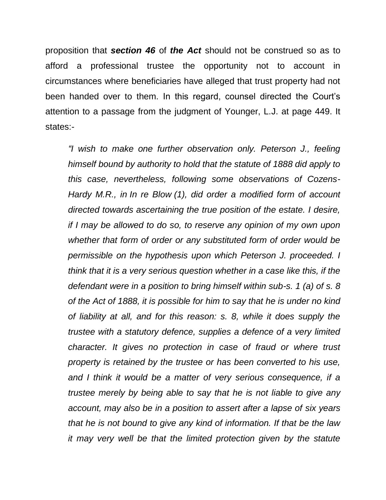proposition that *section 46* of *the Act* should not be construed so as to afford a professional trustee the opportunity not to account in circumstances where beneficiaries have alleged that trust property had not been handed over to them. In this regard, counsel directed the Court's attention to a passage from the judgment of Younger, L.J. at page 449. It states:-

*"I wish to make one further observation only. Peterson J., feeling himself bound by authority to hold that the statute of 1888 did apply to this case, nevertheless, following some observations of Cozens-Hardy M.R., in In re Blow (1), did order a modified form of account directed towards ascertaining the true position of the estate. I desire, if I may be allowed to do so, to reserve any opinion of my own upon whether that form of order or any substituted form of order would be permissible on the hypothesis upon which Peterson J. proceeded. I think that it is a very serious question whether in a case like this, if the defendant were in a position to bring himself within sub-s. 1 (a) of s. 8 of the Act of 1888, it is possible for him to say that he is under no kind of liability at all, and for this reason: s. 8, while it does supply the trustee with a statutory defence, supplies a defence of a very limited character. It gives no protection in case of fraud or where trust property is retained by the trustee or has been converted to his use, and I think it would be a matter of very serious consequence, if a trustee merely by being able to say that he is not liable to give any account, may also be in a position to assert after a lapse of six years that he is not bound to give any kind of information. If that be the law it may very well be that the limited protection given by the statute*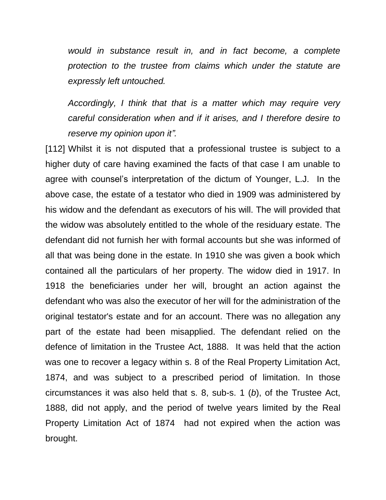*would in substance result in, and in fact become, a complete protection to the trustee from claims which under the statute are expressly left untouched.*

*Accordingly, I think that that is a matter which may require very careful consideration when and if it arises, and I therefore desire to reserve my opinion upon it".*

[112] Whilst it is not disputed that a professional trustee is subject to a higher duty of care having examined the facts of that case I am unable to agree with counsel's interpretation of the dictum of Younger, L.J. In the above case, the estate of a testator who died in 1909 was administered by his widow and the defendant as executors of his will. The will provided that the widow was absolutely entitled to the whole of the residuary estate. The defendant did not furnish her with formal accounts but she was informed of all that was being done in the estate. In 1910 she was given a book which contained all the particulars of her property. The widow died in 1917. In 1918 the beneficiaries under her will, brought an action against the defendant who was also the executor of her will for the administration of the original testator's estate and for an account. There was no allegation any part of the estate had been misapplied. The defendant relied on the defence of limitation in the Trustee Act, 1888. It was held that the action was one to recover a legacy within s. 8 of the Real Property Limitation Act, 1874, and was subject to a prescribed period of limitation. In those circumstances it was also held that s. 8, sub-s. 1 (*b*), of the Trustee Act, 1888, did not apply, and the period of twelve years limited by the Real Property Limitation Act of 1874 had not expired when the action was brought.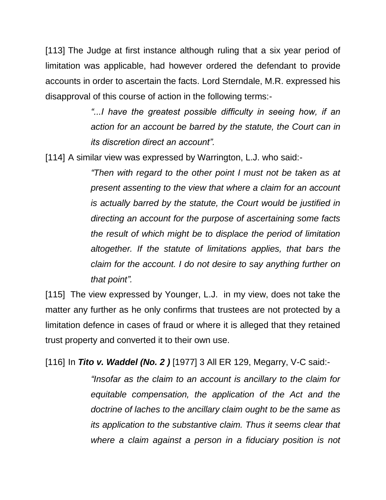[113] The Judge at first instance although ruling that a six year period of limitation was applicable, had however ordered the defendant to provide accounts in order to ascertain the facts. Lord Sterndale, M.R. expressed his disapproval of this course of action in the following terms:-

> "...I have the greatest possible difficulty in seeing how, if an *action for an account be barred by the statute, the Court can in its discretion direct an account".*

[114] A similar view was expressed by Warrington, L.J. who said:-

*"Then with regard to the other point I must not be taken as at present assenting to the view that where a claim for an account is actually barred by the statute, the Court would be justified in directing an account for the purpose of ascertaining some facts the result of which might be to displace the period of limitation altogether. If the statute of limitations applies, that bars the claim for the account. I do not desire to say anything further on that point".*

[115] The view expressed by Younger, L.J. in my view, does not take the matter any further as he only confirms that trustees are not protected by a limitation defence in cases of fraud or where it is alleged that they retained trust property and converted it to their own use.

[116] In *Tito v. Waddel (No. 2 )* [1977] 3 All ER 129, Megarry, V-C said:-

*"Insofar as the claim to an account is ancillary to the claim for equitable compensation, the application of the Act and the doctrine of laches to the ancillary claim ought to be the same as its application to the substantive claim. Thus it seems clear that where a claim against a person in a fiduciary position is not*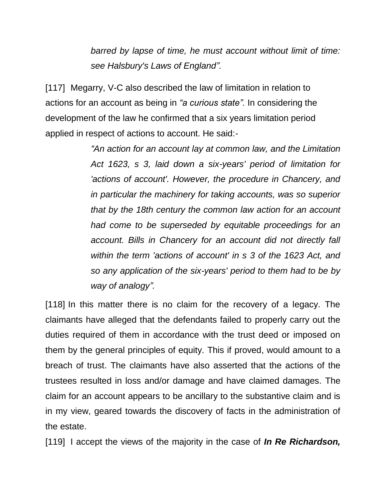*barred by lapse of time, he must account without limit of time: see Halsbury's Laws of England".*

[117] Megarry, V-C also described the law of limitation in relation to actions for an account as being in *"a curious state".* In considering the development of the law he confirmed that a six years limitation period applied in respect of actions to account. He said:-

> *"An action for an account lay at common law, and the Limitation Act 1623, s 3, laid down a six-years' period of limitation for 'actions of account'. However, the procedure in Chancery, and in particular the machinery for taking accounts, was so superior that by the 18th century the common law action for an account had come to be superseded by equitable proceedings for an account. Bills in Chancery for an account did not directly fall within the term 'actions of account' in s 3 of the 1623 Act, and so any application of the six-years' period to them had to be by way of analogy".*

[118] In this matter there is no claim for the recovery of a legacy. The claimants have alleged that the defendants failed to properly carry out the duties required of them in accordance with the trust deed or imposed on them by the general principles of equity. This if proved, would amount to a breach of trust. The claimants have also asserted that the actions of the trustees resulted in loss and/or damage and have claimed damages. The claim for an account appears to be ancillary to the substantive claim and is in my view, geared towards the discovery of facts in the administration of the estate.

[119] I accept the views of the majority in the case of *In Re Richardson,*